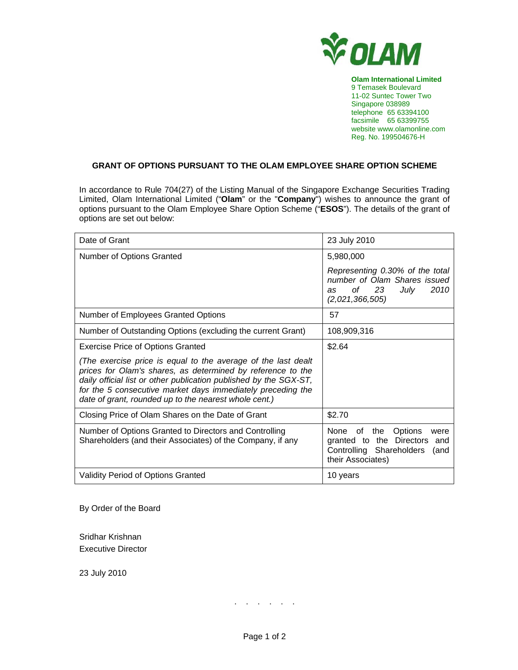

**Olam International Limited**  9 Temasek Boulevard 11-02 Suntec Tower Two Singapore 038989 telephone 65 63394100 facsimile 65 63399755 website www.olamonline.com Reg. No. 199504676-H

## **GRANT OF OPTIONS PURSUANT TO THE OLAM EMPLOYEE SHARE OPTION SCHEME**

In accordance to Rule 704(27) of the Listing Manual of the Singapore Exchange Securities Trading Limited, Olam International Limited ("**Olam**" or the "**Company**") wishes to announce the grant of options pursuant to the Olam Employee Share Option Scheme ("**ESOS**"). The details of the grant of options are set out below:

| Date of Grant                                                                                                                                                                                                                                                                                                             | 23 July 2010                                                                                                            |
|---------------------------------------------------------------------------------------------------------------------------------------------------------------------------------------------------------------------------------------------------------------------------------------------------------------------------|-------------------------------------------------------------------------------------------------------------------------|
| Number of Options Granted                                                                                                                                                                                                                                                                                                 | 5,980,000                                                                                                               |
|                                                                                                                                                                                                                                                                                                                           | Representing 0.30% of the total<br>number of Olam Shares issued<br>of 23<br>July<br>2010<br>as<br>(2,021,366,505)       |
| <b>Number of Employees Granted Options</b>                                                                                                                                                                                                                                                                                | 57                                                                                                                      |
| Number of Outstanding Options (excluding the current Grant)                                                                                                                                                                                                                                                               | 108,909,316                                                                                                             |
| <b>Exercise Price of Options Granted</b>                                                                                                                                                                                                                                                                                  | \$2.64                                                                                                                  |
| (The exercise price is equal to the average of the last dealt<br>prices for Olam's shares, as determined by reference to the<br>daily official list or other publication published by the SGX-ST,<br>for the 5 consecutive market days immediately preceding the<br>date of grant, rounded up to the nearest whole cent.) |                                                                                                                         |
| Closing Price of Olam Shares on the Date of Grant                                                                                                                                                                                                                                                                         | \$2.70                                                                                                                  |
| Number of Options Granted to Directors and Controlling<br>Shareholders (and their Associates) of the Company, if any                                                                                                                                                                                                      | None of the Options<br>were<br>granted to the Directors<br>and<br>Controlling Shareholders<br>(and<br>their Associates) |
| <b>Validity Period of Options Granted</b>                                                                                                                                                                                                                                                                                 | 10 years                                                                                                                |

By Order of the Board

Sridhar Krishnan Executive Director

23 July 2010

. . . . . .